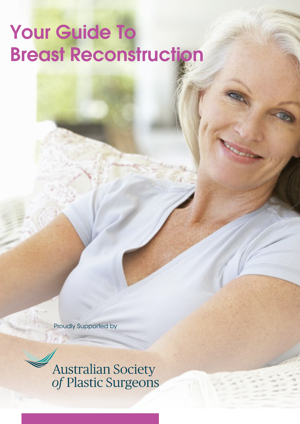# Your Guide To Breast Reconstruction

Proudly Supported by

**Australian Society<br>of Plastic Surgeons**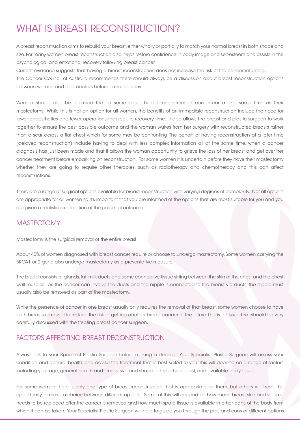# WHAT IS BREAST RECONSTRUCTION?

A breast reconstruction aims to rebuild your breast, either wholly or partially to match your normal breast in both shape and size. For many women breast reconstruction also helps restore confidence in body image and self-esteem and assists in the psychological and emotional recovery following breast cancer.

Current evidence suggests that having a breast reconstruction does not increase the risk of the cancer returning. The Cancer Council of Australia recommends there should always be a discussion about breast reconstruction options between women and their doctors before a mastectomy.

Women should also be informed that in some cases breast reconstruction can occur at the same time as their mastectomy. While this is not an option for all women, the benefits of an immediate reconstruction include the need for fewer anaesthetics and fewer operations that require recovery time. It also allows the breast and plastic surgeon to work together to ensure the best possible outcome and the woman wakes from her surgery with reconstructed breasts rather than a scar across a flat chest which for some may be confronting. The benefit of having reconstruction at a later time (delayed reconstruction) include having to deal with less complex information all at the same time, when a cancer diagnosis has just been made and that it allows the woman opportunity to grieve the loss of her breast and get over her cancer treatment before embarking on reconstruction. For some women it is uncertain before they have their mastectomy whether they are going to require other therapies, such as radiotherapy and chemotherapy and this can affect reconstructions.

There are a range of surgical options available for breast reconstruction with varying degrees of complexity. Not all options are appropriate for all women so it's important that you are informed of the options that are most suitable for you and you are given a realistic expectation of the potential outcome.

## **MASTECTOMY**

Mastectomy is the surgical removal of the entire breast.

About 40% of women diagnosed with breast cancer require or choose to undergo mastectomy. Some women carrying the BRCA1 or 2 gene also undergo mastectomy as a preventative measure.

The breast consists of glands, fat, milk ducts and some connective tissue sitting between the skin of the chest and the chest wall muscles. As the cancer can involve the ducts and the nipple is connected to the breast via ducts, the nipple must usually also be removed as part of the mastectomy.

While the presence of cancer in one breast usually only requires the removal of that breast, some women choose to have both breasts removed to reduce the risk of getting another breast cancer in the future. This is an issue that should be very carefully discussed with the treating breast cancer surgeon.

## FACTORS AFFECTING BREAST RECONSTRUCTION

Always talk to your Specialist Plastic Surgeon before making a decision. Your Specialist Plastic Surgeon will assess your condition and general health, and advise the treatment that is best suited to you. This will depend on a range of factors including your age, general health and fitness, size and shape of the other breast, and available body tissue.

For some women there is only one type of breast reconstruction that is appropriate for them, but others will have the opportunity to make a choice between different options. Some of this will depend on how much breast skin and volume needs to be replaced after the cancer is removed and how much spare tissue is available in other parts of the body from which it can be taken. Your Specialist Plastic Surgeon will help to guide you through the pros and cons of different options.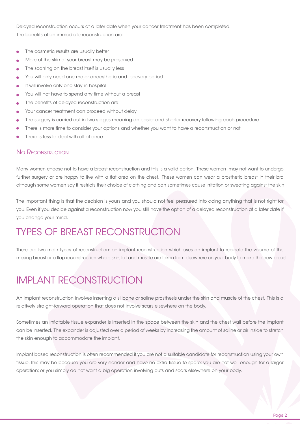Delayed reconstruction occurs at a later date when your cancer treatment has been completed. The benefits of an immediate reconstruction are:

- The cosmetic results are usually better
- More of the skin of your breast may be preserved
- The scarring on the breast itself is usually less
- You will only need one major anaesthetic and recovery period
- It will involve only one stay in hospital
- You will not have to spend any time without a breast
- The benefits of delayed reconstruction are:
- Your cancer treatment can proceed without delay
- The surgery is carried out in two stages meaning an easier and shorter recovery following each procedure
- There is more time to consider your options and whether you want to have a reconstruction or not
- There is less to deal with all at once.

### NO RECONSTRUCTION

Many women choose not to have a breast reconstruction and this is a valid option. These women may not want to undergo further surgery or are happy to live with a flat area on the chest. These women can wear a prosthetic breast in their bra although some women say it restricts their choice of clothing and can sometimes cause irritation or sweating against the skin.

The important thing is that the decision is yours and you should not feel pressured into doing anything that is not right for you. Even if you decide against a reconstruction now you still have the option of a delayed reconstruction at a later date if you change your mind.

# TYPES OF BREAST RECONSTRUCTION

There are two main types of reconstruction: an implant reconstruction which uses an implant to recreate the volume of the missing breast or a flap reconstruction where skin, fat and muscle are taken from elsewhere on your body to make the new breast.

# IMPLANT RECONSTRUCTION

An implant reconstruction involves inserting a silicone or saline prosthesis under the skin and muscle of the chest. This is a relatively straight-forward operation that does not involve scars elsewhere on the body.

Sometimes an inflatable tissue expander is inserted in the space between the skin and the chest wall before the implant can be inserted. The expander is adjusted over a period of weeks by increasing the amount of saline or air inside to stretch the skin enough to accommodate the implant.

Implant based reconstruction is often recommended if you are not a suitable candidate for reconstruction using your own tissue. This may be because you are very slender and have no extra tissue to spare; you are not well enough for a larger operation; or you simply do not want a big operation involving cuts and scars elsewhere on your body.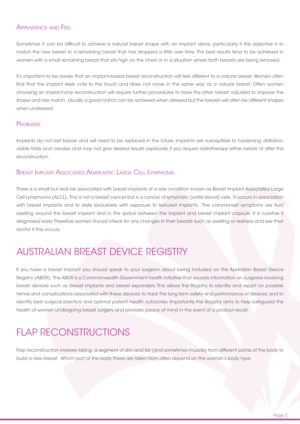### APPEARANCE AND FEEL

Sometimes it can be difficult to achieve a natural breast shape with an implant alone, particularly if the objective is to match the new breast to a remaining breast that has dropped a little over time. The best results tend to be achieved in women with a small remaining breast that sits high on the chest or in a situation where both breasts are being removed.

It's important to be aware that an implant-based breast reconstruction will feel different to a natural breast. Women often find that the implant feels cold to the touch and does not move in the same way as a natural breast. Often women choosing an implant-only reconstruction will require further procedures to have the other breast adjusted to improve the shape and size match. Usually a good match can be achieved when dressed but the breasts will often be different shapes when undressed.

### **PROBLEMS**

Implants do not last forever and will need to be replaced in the future. Implants are susceptible to hardening, deflation, visible folds and creases and may not give desired results especially if you require radiotherapy either before of after the reconstruction.

### BREAST IMPLANT ASSOCIATED ANAPLASTIC LARGE CELL LYMPHOMA

There is a small but real risk associated with breast implants of a rare condition known as Breast Implant Associated Large Cell Lymphoma (ALCL). This is not a breast cancer but is a cancer of lymphatic (white blood) cells. It occurs in association with breast implants and to date exclusively with exposure to textured implants. The commonest symptoms are fluid swelling around the breast implant and in the space between the implant and breast implant capsule. It is curative if diagnosed early. Therefore women should check for any changes in their breasts such as swelling or redness and see their doctor if this occurs.

# AUSTRALIAN BREAST DEVICE REGISTRY

If you have a breast implant you should speak to your surgeon about being included on the Australian Breast Device Registry (ABDR). The ABDR is a Commonwealth Government health initiative that records information on surgeries involving breast devices such as breast implants and breast expanders. This allows the Registry to identify and report on possible trends and complications associated with these devices; to track the long term safety and performance of devices; and to identify best surgical practice and optimal patient health outcomes. Importantly the Registry aims to help safeguard the health of women undergoing breast surgery and provides peace of mind in the event of a product recall.

# FLAP RECONSTRUCTIONS

Flap reconstruction involves taking a segment of skin and fat (and sometimes muscle) from different partss of the body to build a new breast. Which part of the body these are taken from often depend on the woman's body type.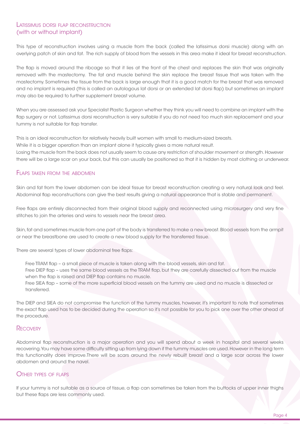### LATISSIMUS DORSI FLAP RECONSTRUCTION (with or without implant)

This type of reconstruction involves using a muscle from the back (called the latissimus dorsi muscle) along with an overlying patch of skin and fat. The rich supply of blood from the vessels in this area make it ideal for breast reconstruction.

The flap is moved around the ribcage so that it lies at the front of the chest and replaces the skin that was originally removed with the mastectomy. The fat and muscle behind the skin replace the breast tissue that was taken with the mastectomy. Sometimes the tissue from the back is large enough that it is a good match for the breast that was removed and no implant is required (this is called an autologous lat dorsi or an extended lat dorsi flap) but sometimes an implant may also be required to further supplement breast volume.

When you are assessed ask your Specialist Plastic Surgeon whether they think you will need to combine an implant with the flap surgery or not. Latissimus dorsi reconstruction is very suitable if you do not need too much skin replacement and your tummy is not suitable for flap transfer.

This is an ideal reconstruction for relatively heavily built women with small to medium-sized breasts.

While it is a bigger operation than an implant alone it typically gives a more natural result.

Losing the muscle from the back does not usually seem to cause any restriction of shoulder movement or strength. However there will be a large scar on your back, but this can usually be positioned so that it is hidden by most clothing or underwear.

### FLAPS TAKEN FROM THE ABDOMEN

Skin and fat from the lower abdomen can be ideal tissue for breast reconstruction creating a very natural look and feel. Abdominal flap reconstructions can give the best results giving a natural appearance that is stable and permanent.

Free flaps are entirely disconnected from their original blood supply and reconnected using microsurgery and very fine stitches to join the arteries and veins to vessels near the breast area.

Skin, fat and sometimes muscle from one part of the body is transferred to make a new breast. Blood vessels from the armpit or near the breastbone are used to create a new blood supply for the transferred tissue.

There are several types of lower abdominal free flaps:

Free TRAM flap - a small piece of muscle is taken along with the blood vessels, skin and fat. Free DIEP flap - uses the same blood vessels as the TRAM flap, but they are carefully dissected out from the muscle when the flap is raised and DIEP flap contains no muscle. Free SIEA flap - some of the more superficial blood vessels on the tummy are used and no muscle is dissected or transferred.

The DIEP and SIEA do not compromise the function of the tummy muscles, however, it's important to note that sometimes the exact flap used has to be decided during the operation so it's not possible for you to pick one over the other ahead of the procedure.

#### **RECOVERY**

Abdominal flap reconstruction is a major operation and you will spend about a week in hospital and several weeks recovering. You may have some difficulty sitting up from lying down if the tummy muscles are used. However in the long term this functionality does improve.There will be scars around the newly rebuilt breast and a large scar across the lower abdomen and around the navel.

### OTHER TYPES OF FLAPS

If your tummy is not suitable as a source of tissue, a flap can sometimes be taken from the buttocks of upper inner thighs but these flaps are less commonly used.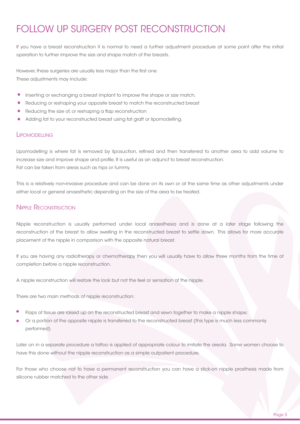# FOLLOW UP SURGERY POST RECONSTRUCTION

If you have a breast reconstruction it is normal to need a further adjustment procedure at some point after the initial operation to further improve the size and shape match of the breasts.

However, these surgeries are usually less major than the first one. These adjustments may include:

- Inserting or exchanging a breast implant to improve the shape or size match,
- Reducing or reshaping your opposite breast to match the reconstructed breast
- Reducing the size of, or reshaping a flap reconstruction
- Adding fat to your reconstructed breast using fat graft or lipomodelling.

#### **LIPOMODELLING**

Lipomodelling is where fat is removed by liposuction, refined and then transferred to another area to add volume to increase size and improve shape and profile. It is useful as an adjunct to breast reconstruction. Fat can be taken from areas such as hips or tummy.

This is a relatively non-invasive procedure and can be done on its own or at the same time as other adjustments under either local or general anaesthetic depending on the size of the area to be treated.

### NIPPLE RECONSTRUCTION

Nipple reconstruction is usually performed under local anaesthesia and is done at a later stage following the reconstruction of the breast to allow swelling in the reconstructed breast to settle down. This allows for more accurate placement of the nipple in comparison with the opposite natural breast.

If you are having any radiotherapy or chemotherapy then you will usually have to allow three months from the time of completion before a nipple reconstruction.

A nipple reconstruction will restore the look but not the feel or sensation of the nipple.

There are two main methods of nipple reconstruction:

- Flaps of tissue are raised up on the reconstructed breast and sewn together to make a nipple shape;
- Or a portion of the opposite nipple is transferred to the reconstructed breast (this type is much less commonly performed)

Later on in a separate procedure a tattoo is applied of appropriate colour to imitate the areola. Some women choose to have this done without the nipple reconstruction as a simple outpatient procedure.

For those who choose not to have a permanent reconstruction you can have a stick-on nipple prosthesis made from silicone rubber matched to the other side.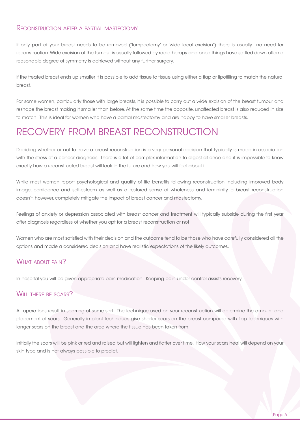#### RECONSTRUCTION AFTER <sup>A</sup> PARTIAL MASTECTOMY

If only part of your breast needs to be removed ('lumpectomy' or 'wide local excision') there is usually no need for reconstruction. Wide excision of the tumour is usually followed by radiotherapy and once things have settled down often a reasonable degree of symmetry is achieved without any further surgery.

If the treated breast ends up smaller it is possible to add tissue to tissue using either a flap or lipofilling to match the natural breast.

For some women, particularly those with large breasts, it is possible to carry out a wide excision of the breast tumour and reshape the breast making it smaller than before. At the same time the opposite, unaffected breast is also reduced in size to match. This is ideal for women who have a partial mastectomy and are happy to have smaller breasts.

# RECOVERY FROM BREAST RECONSTRUCTION

Deciding whether or not to have a breast reconstruction is a very personal decision that typically is made in association with the stress of a cancer diagnosis. There is a lot of complex information to digest at once and it is impossible to know exactly how a reconstructed breast will look in the future and how you will feel about it.

While most women report psychological and quality of life benefits following reconstruction including improved body image, confidence and self-esteem as well as a restored sense of wholeness and femininity, a breast reconstruction doesn't, however, completely mitigate the impact of breast cancer and mastectomy.

Feelings of anxiety or depression associated with breast cancer and treatment will typically subside during the first year after diagnosis regardless of whether you opt for a breast reconstruction or not.

Women who are most satisfied with their decision and the outcome tend to be those who have carefully considered all the options and made a considered decision and have realistic expectations of the likely outcomes.

### WHAT AROUT PAIN?

In hospital you will be given appropriate pain medication. Keeping pain under control assists recovery.

## WILL THERE BE SCARS?

All operations result in scarring of some sort. The technique used on your reconstruction will determine the amount and placement of scars. Generally implant techniques give shorter scars on the breast compared with flap techniques with longer scars on the breast and the area where the tissue has been taken from.

Initially the scars will be pink or red and raised but will lighten and flatter over time. How your scars heal will depend on your skin type and is not always possible to predict.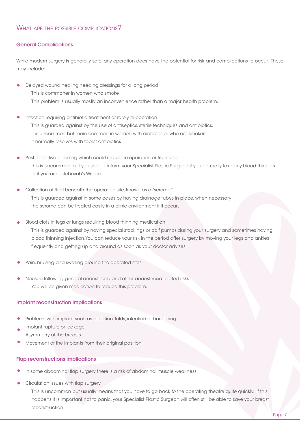#### General Complications

While modern surgery is generally safe, any operation does have the potential for risk and complications to occur. These may include:

- Delayed wound healing needing dressings for a long period This is commoner in women who smoke This problem is usually mostly an inconvenience rather than a major health problem.
- Infection requiring antibiotic treatment or rarely re-operation This is guarded against by the use of antiseptics, sterile techniques and antibiotics. It is uncommon but more common in women with diabetes or who are smokers It normally resolves with tablet antibiotics
- Post-operative bleeding which could require re-operation or transfusion this is uncommon, but you should inform your Specialist Plastic Surgeon if you normally take any blood thinners or if you are a Jehovah's Witness.
- Collection of fluid beneath the operation site, known as a "seroma." This is guarded against in some cases by having drainage tubes in place, when necessary the seroma can be treated easily in a clinic environment if it occurs
- Blood clots in legs or lungs requiring blood thinning medication. This is guarded against by having special stockings or calf pumps during your surgery and sometimes having blood thinning injection.You can reduce your risk in the period after surgery by moving your legs and ankles frequently and getting up and around as soon as your doctor advises.
- Pain, bruising and swelling around the operated sites
- Nausea following general anaesthesia and other anaesthesia-related risks You will be given medication to reduce this problem.

#### Implant reconstruction implications

- Problems with implant such as deflation, folds, infection or hardening
- Implant rupture or leakage Asymmetry of the breasts
- Movement of the implants from their original position

### Flap reconstructions implications

- In some abdominal flap surgery there is a risk of abdominal muscle weakness
- Circulation issues with flap surgery This is uncommon but usually means that you have to go back to the operating theatre quite quickly. If this happens it is important not to panic, your Specialist Plastic Surgeon will often still be able to save your breast reconstruction.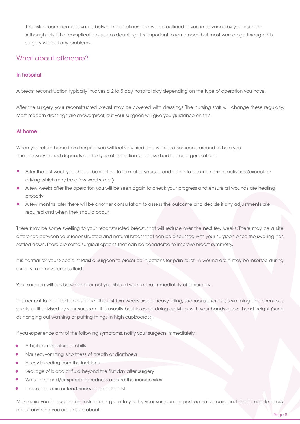The risk of complications varies between operations and will be outlined to you in advance by your surgeon. Although this list of complications seems daunting, it is important to remember that most women go through this surgery without any problems.

### What about aftercare?

#### In hospital

A breast reconstruction typically involves a 2 to 5 day hospital stay depending on the type of operation you have.

After the surgery, your reconstructed breast may be covered with dressings. The nursing staff will change these regularly. Most modern dressings are showerproof, but your surgeon will give you guidance on this.

#### At home

When you return home from hospital you will feel very tired and will need someone around to help you. The recovery period depends on the type of operation you have had but as a general rule:

- After the first week you should be starting to look after yourself and begin to resume normal activities (except for driving which may be a few weeks later).
- A few weeks after the operation you will be seen again to check your progress and ensure all wounds are healing properly
- A few months later there will be another consultation to assess the outcome and decide if any adjustments are required and when they should occur.

There may be some swelling to your reconstructed breast, that will reduce over the next few weeks. There may be a size difference between your reconstructed and natural breast that can be discussed with your surgeon once the swelling has settled down. There are some surgical options that can be considered to improve breast symmetry.

It is normal for your Specialist Plastic Surgeon to prescribe injections for pain relief. A wound drain may be inserted during surgery to remove excess fluid.

Your surgeon will advise whether or not you should wear a bra immediately after surgery.

It is normal to feel tired and sore for the first two weeks. Avoid heavy lifting, strenuous exercise, swimming and strenuous sports until advised by your surgeon. It is usually best to avoid doing activities with your hands above head height (such as hanging out washing or putting things in high cupboards).

If you experience any of the following symptoms, notify your surgeon immediately:

- A high temperature or chills
- Nausea, vomiting, shortness of breath or diarrhoea
- Heavy bleeding from the incisions
- Leakage of blood or fluid beyond the first day after surgery
- Worsening and/or spreading redness around the incision sites
- Increasing pain or tenderness in either breast

Make sure you follow specific instructions given to you by your surgeon on post-operative care and don't hesitate to ask about anything you are unsure about.